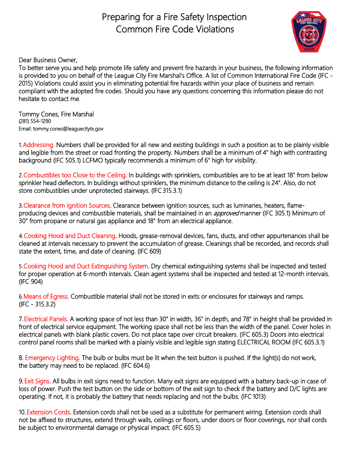## Preparing for a Fire Safety Inspection Common Fire Code Violations



Dear Business Owner,

To better serve you and help promote life safety and prevent fire hazards in your business, the following information is provided to you on behalf of the League City Fire Marshal's Office. A list of Common International Fire Code (IFC - 2015) Violations could assist you in eliminating potential fire hazards within your place of business and remain compliant with the adopted fire codes. Should you have any questions concerning this information please do not hesitate to contact me.

Tommy Cones, Fire Marshal (281) 554-1290 Email: [tommy.cones@leaguecitytx.gov](mailto:tommy.cones@leaguecitytx.gov) 

1.Addressing. Numbers shall be provided for all new and existing buildings in such a position as to be plainly visible and legible from the street or road fronting the property. Numbers shall be a minimum of 4" high with contrasting background (IFC 505.1) LCFMO typically recommends a minimum of 6" high for visibility.

2.Combustibles too Close to the Ceiling. In buildings with sprinklers, combustibles are to be at least 18" from below sprinkler head deflectors. In buildings without sprinklers, the minimum distance to the ceiling is 24". Also, do not store combustibles under unprotected stairways. (IFC 315.3.1)

3.Clearance from Ignition Sources. Clearance between ignition sources, such as luminaries, heaters, flameproducing devices and combustible materials, shall be maintained in an *approved* manner (IFC 305.1) Minimum of 30" from propane or natural gas appliance and 18" from an electrical appliance.

4.Cooking Hood and Duct Cleaning. Hoods, grease-removal devices, fans, ducts, and other appurtenances shall be cleaned at intervals necessary to prevent the accumulation of grease. Cleanings shall be recorded, and records shall state the extent, time, and date of cleaning. (IFC 609)

5.Cooking Hood and Duct Extinguishing System. Dry chemical extinguishing systems shall be inspected and tested for proper operation at 6-month intervals. Clean agent systems shall be inspected and tested at 12-month intervals. (IFC 904)

6.Means of Egress. Combustible material shall not be stored in exits or enclosures for stairways and ramps. (IFC - 315.3.2)

7.Electrical Panels. A working space of not less than 30" in width, 36" in depth, and 78" in height shall be provided in front of electrical service equipment. The working space shall not be less than the width of the panel. Cover holes in electrical panels with blank plastic covers. Do not place tape over circuit breakers. (IFC 605.3) Doors into electrical control panel rooms shall be marked with a plainly visible and legible sign stating ELECTRICAL ROOM (IFC 605.3.1)

8. Emergency Lighting. The bulb or bulbs must be lit when the test button is pushed. If the light(s) do not work, the battery may need to be replaced. (IFC 604.6)

9.Exit Signs. All bulbs in exit signs need to function. Many exit signs are equipped with a battery back-up in case of loss of power. Push the test button on the side or bottom of the exit sign to check if the battery and D/C lights are operating. If not, it is probably the battery that needs replacing and not the bulbs. (IFC 1013)

10. Extension Cords. Extension cords shall not be used as a substitute for permanent wiring. Extension cords shall not be affixed to structures, extend through walls, ceilings or floors, under doors or floor coverings, nor shall cords be subject to environmental damage or physical impact. (IFC 605.5)